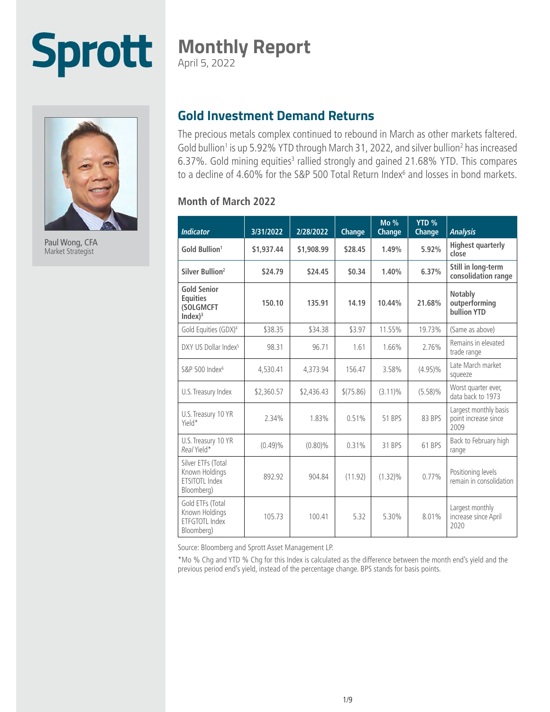# **Monthly Report**

April 5, 2022



**Sprott** 

Paul Wong, CFA Market Strategist

# **Gold Investment Demand Returns**

The precious metals complex continued to rebound in March as other markets faltered. Gold bullion<sup>1</sup> is up 5.92% YTD through March 31, 2022, and silver bullion<sup>2</sup> has increased 6.37%. Gold mining equities<sup>3</sup> rallied strongly and gained 21.68% YTD. This compares to a decline of 4.60% for the S&P 500 Total Return Index<sup>6</sup> and losses in bond markets.

#### **Month of March 2022**

| <b>Indicator</b>                                                          | 3/31/2022  | 2/28/2022  | Change    | Mo %<br><b>Change</b> | YTD <sub>%</sub><br>Change | <b>Analysis</b>                                       |
|---------------------------------------------------------------------------|------------|------------|-----------|-----------------------|----------------------------|-------------------------------------------------------|
| Gold Bullion <sup>1</sup>                                                 | \$1,937.44 | \$1,908.99 | \$28.45   | 1.49%                 | 5.92%                      | <b>Highest quarterly</b><br>close                     |
| Silver Bullion <sup>2</sup>                                               | \$24.79    | \$24.45    | \$0.34    | 1.40%                 | 6.37%                      | Still in long-term<br>consolidation range             |
| <b>Gold Senior</b><br><b>Equities</b><br>(SOLGMCFT<br>Index) <sup>3</sup> | 150.10     | 135.91     | 14.19     | 10.44%                | 21.68%                     | Notably<br>outperforming<br>bullion YTD               |
| Gold Equities (GDX) <sup>4</sup>                                          | \$38.35    | \$34.38    | \$3.97    | 11.55%                | 19.73%                     | (Same as above)                                       |
| DXY US Dollar Index <sup>5</sup>                                          | 98.31      | 96.71      | 1.61      | 1.66%                 | 2.76%                      | Remains in elevated<br>trade range                    |
| S&P 500 Index <sup>6</sup>                                                | 4,530.41   | 4,373.94   | 156.47    | 3.58%                 | $(4.95)\%$                 | Late March market<br>squeeze                          |
| U.S. Treasury Index                                                       | \$2,360.57 | \$2,436.43 | \$(75.86) | $(3.11)\%$            | $(5.58)\%$                 | Worst quarter ever,<br>data back to 1973              |
| U.S. Treasury 10 YR<br>Yield*                                             | 2.34%      | 1.83%      | 0.51%     | 51 BPS                | 83 BPS                     | Largest monthly basis<br>point increase since<br>2009 |
| U.S. Treasury 10 YR<br>Real Yield*                                        | (0.49)%    | $(0.80)\%$ | 0.31%     | 31 BPS                | 61 BPS                     | Back to February high<br>range                        |
| Silver ETFs (Total<br>Known Holdings<br>ETSITOTL Index<br>Bloomberg)      | 892.92     | 904.84     | (11.92)   | $(1.32)\%$            | 0.77%                      | Positioning levels<br>remain in consolidation         |
| Gold ETFs (Total<br>Known Holdings<br>ETFGTOTL Index<br>Bloomberg)        | 105.73     | 100.41     | 5.32      | 5.30%                 | 8.01%                      | Largest monthly<br>increase since April<br>2020       |

Source: Bloomberg and Sprott Asset Management LP.

\*Mo % Chg and YTD % Chg for this Index is calculated as the difference between the month end's yield and the previous period end's yield, instead of the percentage change. BPS stands for basis points.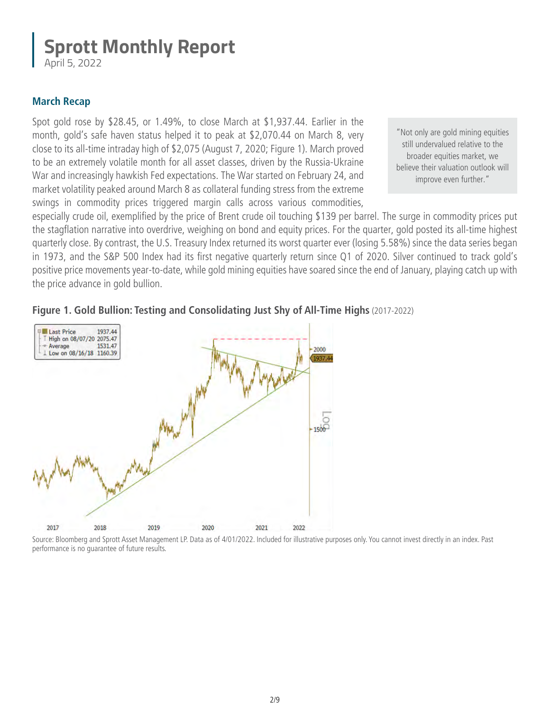April 5, 2022

### **March Recap**

Spot gold rose by \$28.45, or 1.49%, to close March at \$1,937.44. Earlier in the month, gold's safe haven status helped it to peak at \$2,070.44 on March 8, very close to its all-time intraday high of \$2,075 (August 7, 2020; Figure 1). March proved to be an extremely volatile month for all asset classes, driven by the Russia-Ukraine War and increasingly hawkish Fed expectations. The War started on February 24, and market volatility peaked around March 8 as collateral funding stress from the extreme swings in commodity prices triggered margin calls across various commodities,

"Not only are gold mining equities still undervalued relative to the broader equities market, we believe their valuation outlook will improve even further."

especially crude oil, exemplified by the price of Brent crude oil touching \$139 per barrel. The surge in commodity prices put the stagflation narrative into overdrive, weighing on bond and equity prices. For the quarter, gold posted its all-time highest quarterly close. By contrast, the U.S. Treasury Index returned its worst quarter ever (losing 5.58%) since the data series began in 1973, and the S&P 500 Index had its first negative quarterly return since Q1 of 2020. Silver continued to track gold's positive price movements year-to-date, while gold mining equities have soared since the end of January, playing catch up with the price advance in gold bullion.



### **Figure 1. Gold Bullion: Testing and Consolidating Just Shy of All-Time Highs** (2017-2022)

Source: Bloomberg and Sprott Asset Management LP. Data as of 4/01/2022. Included for illustrative purposes only. You cannot invest directly in an index. Past performance is no guarantee of future results.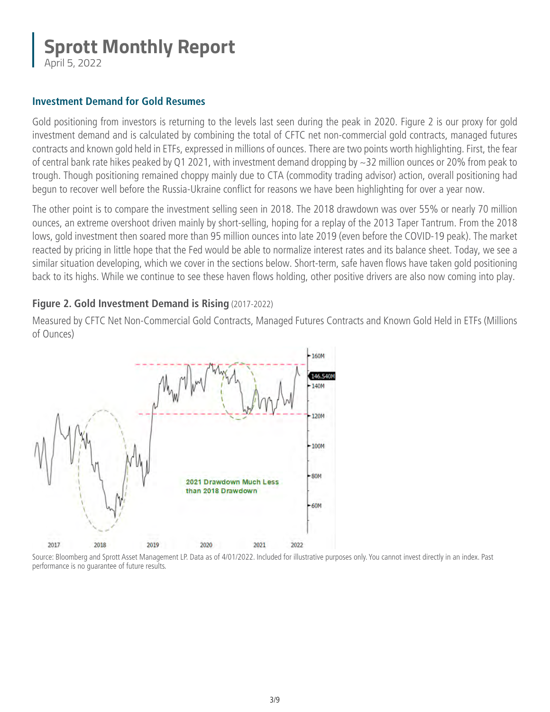April 5, 2022

#### **Investment Demand for Gold Resumes**

Gold positioning from investors is returning to the levels last seen during the peak in 2020. Figure 2 is our proxy for gold investment demand and is calculated by combining the total of CFTC net non-commercial gold contracts, managed futures contracts and known gold held in ETFs, expressed in millions of ounces. There are two points worth highlighting. First, the fear of central bank rate hikes peaked by Q1 2021, with investment demand dropping by ~32 million ounces or 20% from peak to trough. Though positioning remained choppy mainly due to CTA (commodity trading advisor) action, overall positioning had begun to recover well before the Russia-Ukraine conflict for reasons we have been highlighting for over a year now.

The other point is to compare the investment selling seen in 2018. The 2018 drawdown was over 55% or nearly 70 million ounces, an extreme overshoot driven mainly by short-selling, hoping for a replay of the 2013 Taper Tantrum. From the 2018 lows, gold investment then soared more than 95 million ounces into late 2019 (even before the COVID-19 peak). The market reacted by pricing in little hope that the Fed would be able to normalize interest rates and its balance sheet. Today, we see a similar situation developing, which we cover in the sections below. Short-term, safe haven flows have taken gold positioning back to its highs. While we continue to see these haven flows holding, other positive drivers are also now coming into play.

### **Figure 2. Gold Investment Demand is Rising** (2017-2022)

Measured by CFTC Net Non-Commercial Gold Contracts, Managed Futures Contracts and Known Gold Held in ETFs (Millions of Ounces)



Source: Bloomberg and Sprott Asset Management LP. Data as of 4/01/2022. Included for illustrative purposes only. You cannot invest directly in an index. Past performance is no guarantee of future results.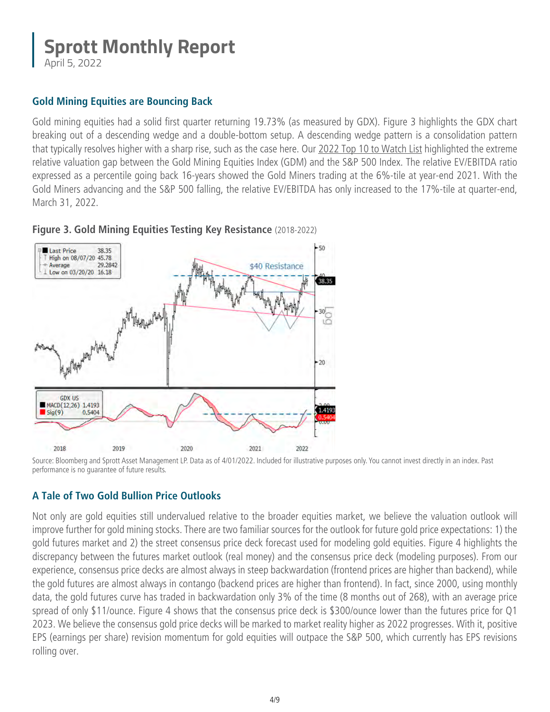April 5, 2022

### **Gold Mining Equities are Bouncing Back**

Gold mining equities had a solid first quarter returning 19.73% (as measured by GDX). Figure 3 highlights the GDX chart breaking out of a descending wedge and a double-bottom setup. A descending wedge pattern is a consolidation pattern that typically resolves higher with a sharp rise, such as the case here. Our [2022 Top 10 to Watch List h](https://sprott.com/insights/sprott-monthly-report-2022-top-10-watch-list/)ighlighted the extreme relative valuation gap between the Gold Mining Equities Index (GDM) and the S&P 500 Index. The relative EV/EBITDA ratio expressed as a percentile going back 16-years showed the Gold Miners trading at the 6%-tile at year-end 2021. With the Gold Miners advancing and the S&P 500 falling, the relative EV/EBITDA has only increased to the 17%-tile at quarter-end, March 31, 2022.



**Figure 3. Gold Mining Equities Testing Key Resistance** (2018-2022)

# **A Tale of Two Gold Bullion Price Outlooks**

Not only are gold equities still undervalued relative to the broader equities market, we believe the valuation outlook will improve further for gold mining stocks. There are two familiar sources for the outlook for future gold price expectations: 1) the gold futures market and 2) the street consensus price deck forecast used for modeling gold equities. Figure 4 highlights the discrepancy between the futures market outlook (real money) and the consensus price deck (modeling purposes). From our experience, consensus price decks are almost always in steep backwardation (frontend prices are higher than backend), while the gold futures are almost always in contango (backend prices are higher than frontend). In fact, since 2000, using monthly data, the gold futures curve has traded in backwardation only 3% of the time (8 months out of 268), with an average price spread of only \$11/ounce. Figure 4 shows that the consensus price deck is \$300/ounce lower than the futures price for Q1 2023. We believe the consensus gold price decks will be marked to market reality higher as 2022 progresses. With it, positive EPS (earnings per share) revision momentum for gold equities will outpace the S&P 500, which currently has EPS revisions rolling over.

Source: Bloomberg and Sprott Asset Management LP. Data as of 4/01/2022. Included for illustrative purposes only. You cannot invest directly in an index. Past performance is no guarantee of future results.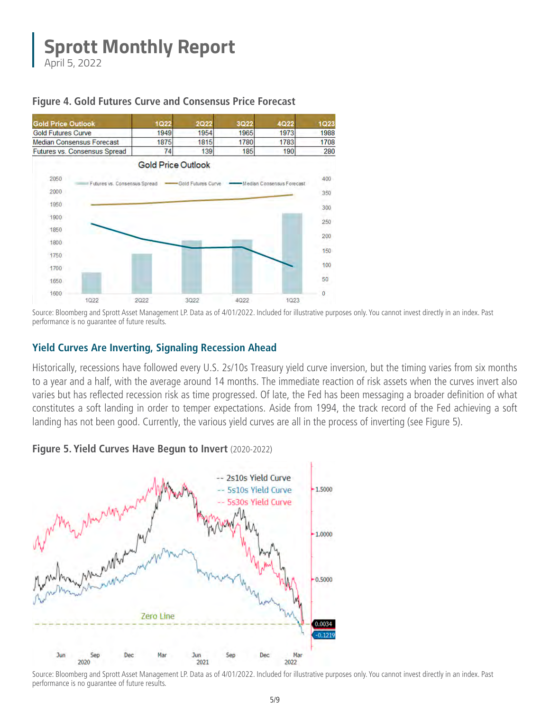April 5, 2022

#### **Figure 4. Gold Futures Curve and Consensus Price Forecast**



Source: Bloomberg and Sprott Asset Management LP. Data as of 4/01/2022. Included for illustrative purposes only. You cannot invest directly in an index. Past performance is no guarantee of future results.

#### **Yield Curves Are Inverting, Signaling Recession Ahead**

Historically, recessions have followed every U.S. 2s/10s Treasury yield curve inversion, but the timing varies from six months to a year and a half, with the average around 14 months. The immediate reaction of risk assets when the curves invert also varies but has reflected recession risk as time progressed. Of late, the Fed has been messaging a broader definition of what constitutes a soft landing in order to temper expectations. Aside from 1994, the track record of the Fed achieving a soft landing has not been good. Currently, the various yield curves are all in the process of inverting (see Figure 5).

#### **Figure 5. Yield Curves Have Begun to Invert** (2020-2022)



Source: Bloomberg and Sprott Asset Management LP. Data as of 4/01/2022. Included for illustrative purposes only. You cannot invest directly in an index. Past performance is no guarantee of future results.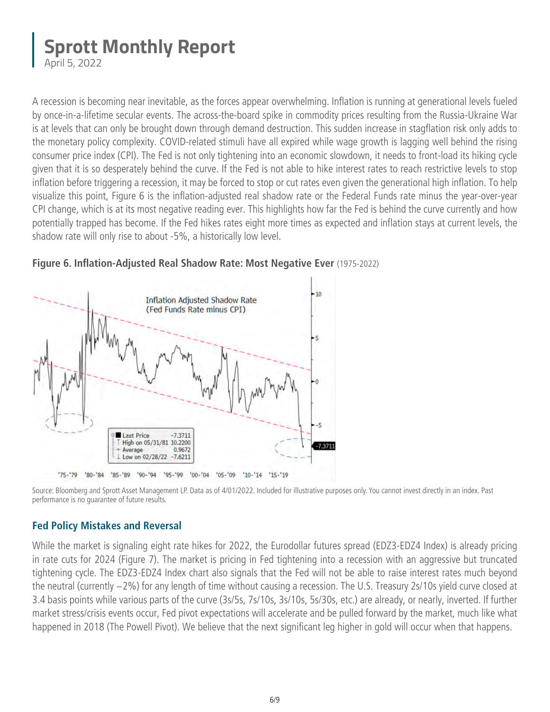April 5, 2022

A recession is becoming near inevitable, as the forces appear overwhelming. Inflation is running at generational levels fueled by once-in-a-lifetime secular events. The across-the-board spike in commodity prices resulting from the Russia-Ukraine War is at levels that can only be brought down through demand destruction. This sudden increase in stagflation risk only adds to the monetary policy complexity. COVID-related stimuli have all expired while wage growth is lagging well behind the rising consumer price index (CPI). The Fed is not only tightening into an economic slowdown, it needs to front-load its hiking cycle given that it is so desperately behind the curve. If the Fed is not able to hike interest rates to reach restrictive levels to stop inflation before triggering a recession, it may be forced to stop or cut rates even given the generational high inflation. To help visualize this point, Figure 6 is the inflation-adjusted real shadow rate or the Federal Funds rate minus the year-over-year CPI change, which is at its most negative reading ever. This highlights how far the Fed is behind the curve currently and how potentially trapped has become. If the Fed hikes rates eight more times as expected and inflation stays at current levels, the shadow rate will only rise to about -5%, a historically low level.



**Figure 6. Inflation-Adjusted Real Shadow Rate: Most Negative Ever** (1975-2022)

Source: Bloomberg and Sprott Asset Management LP. Data as of 4/01/2022. Included for illustrative purposes only. You cannot invest directly in an index. Past performance is no guarantee of future results.

# **Fed Policy Mistakes and Reversal**

While the market is signaling eight rate hikes for 2022, the Eurodollar futures spread (EDZ3-EDZ4 Index) is already pricing in rate cuts for 2024 (Figure 7). The market is pricing in Fed tightening into a recession with an aggressive but truncated tightening cycle. The EDZ3-EDZ4 Index chart also signals that the Fed will not be able to raise interest rates much beyond the neutral (currently ~2%) for any length of time without causing a recession. The U.S. Treasury 2s/10s yield curve closed at 3.4 basis points while various parts of the curve (3s/5s, 7s/10s, 3s/10s, 5s/30s, etc.) are already, or nearly, inverted. If further market stress/crisis events occur, Fed pivot expectations will accelerate and be pulled forward by the market, much like what happened in 2018 (The Powell Pivot). We believe that the next significant leg higher in gold will occur when that happens.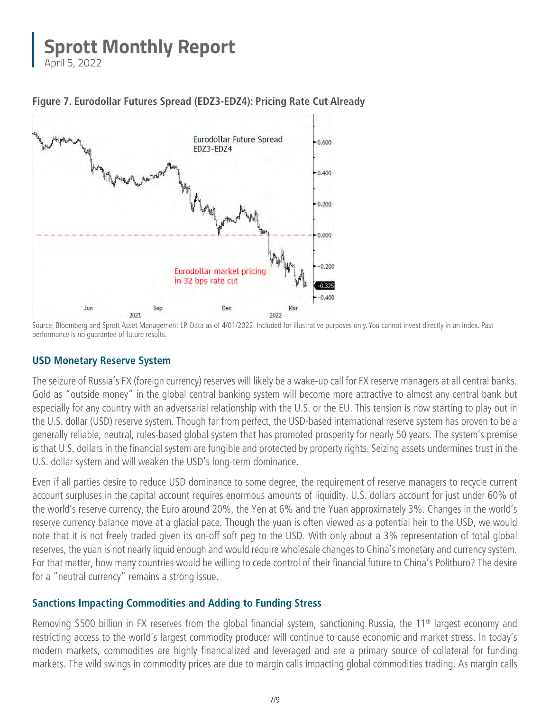April 5, 2022



**Figure 7. Eurodollar Futures Spread (EDZ3-EDZ4): Pricing Rate Cut Already**

### **USD Monetary Reserve System**

The seizure of Russia's FX (foreign currency) reserves will likely be a wake-up call for FX reserve managers at all central banks. Gold as "outside money" in the global central banking system will become more attractive to almost any central bank but especially for any country with an adversarial relationship with the U.S. or the EU. This tension is now starting to play out in the U.S. dollar (USD) reserve system. Though far from perfect, the USD-based international reserve system has proven to be a generally reliable, neutral, rules-based global system that has promoted prosperity for nearly 50 years. The system's premise is that U.S. dollars in the financial system are fungible and protected by property rights. Seizing assets undermines trust in the U.S. dollar system and will weaken the USD's long-term dominance.

Even if all parties desire to reduce USD dominance to some degree, the requirement of reserve managers to recycle current account surpluses in the capital account requires enormous amounts of liquidity. U.S. dollars account for just under 60% of the world's reserve currency, the Euro around 20%, the Yen at 6% and the Yuan approximately 3%. Changes in the world's reserve currency balance move at a glacial pace. Though the yuan is often viewed as a potential heir to the USD, we would note that it is not freely traded given its on-off soft peg to the USD. With only about a 3% representation of total global reserves, the yuan is not nearly liquid enough and would require wholesale changes to China's monetary and currency system. For that matter, how many countries would be willing to cede control of their financial future to China's Politburo? The desire for a "neutral currency" remains a strong issue.

### **Sanctions Impacting Commodities and Adding to Funding Stress**

Removing \$500 billion in FX reserves from the global financial system, sanctioning Russia, the 11<sup>th</sup> largest economy and restricting access to the world's largest commodity producer will continue to cause economic and market stress. In today's modern markets, commodities are highly financialized and leveraged and are a primary source of collateral for funding markets. The wild swings in commodity prices are due to margin calls impacting global commodities trading. As margin calls

Source: Bloomberg and Sprott Asset Management LP. Data as of 4/01/2022. Included for illustrative purposes only. You cannot invest directly in an index. Past performance is no guarantee of future results.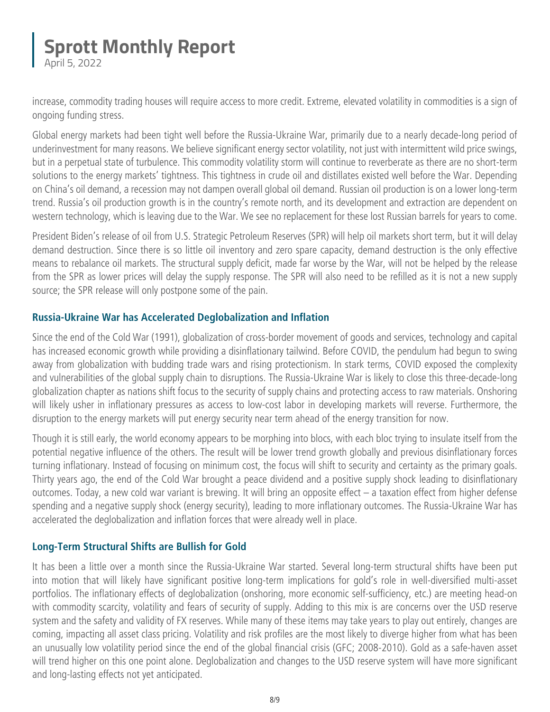April 5, 2022

increase, commodity trading houses will require access to more credit. Extreme, elevated volatility in commodities is a sign of ongoing funding stress.

Global energy markets had been tight well before the Russia-Ukraine War, primarily due to a nearly decade-long period of underinvestment for many reasons. We believe significant energy sector volatility, not just with intermittent wild price swings, but in a perpetual state of turbulence. This commodity volatility storm will continue to reverberate as there are no short-term solutions to the energy markets' tightness. This tightness in crude oil and distillates existed well before the War. Depending on China's oil demand, a recession may not dampen overall global oil demand. Russian oil production is on a lower long-term trend. Russia's oil production growth is in the country's remote north, and its development and extraction are dependent on western technology, which is leaving due to the War. We see no replacement for these lost Russian barrels for years to come.

President Biden's release of oil from U.S. Strategic Petroleum Reserves (SPR) will help oil markets short term, but it will delay demand destruction. Since there is so little oil inventory and zero spare capacity, demand destruction is the only effective means to rebalance oil markets. The structural supply deficit, made far worse by the War, will not be helped by the release from the SPR as lower prices will delay the supply response. The SPR will also need to be refilled as it is not a new supply source; the SPR release will only postpone some of the pain.

### **Russia-Ukraine War has Accelerated Deglobalization and Inflation**

Since the end of the Cold War (1991), globalization of cross-border movement of goods and services, technology and capital has increased economic growth while providing a disinflationary tailwind. Before COVID, the pendulum had begun to swing away from globalization with budding trade wars and rising protectionism. In stark terms, COVID exposed the complexity and vulnerabilities of the global supply chain to disruptions. The Russia-Ukraine War is likely to close this three-decade-long globalization chapter as nations shift focus to the security of supply chains and protecting access to raw materials. Onshoring will likely usher in inflationary pressures as access to low-cost labor in developing markets will reverse. Furthermore, the disruption to the energy markets will put energy security near term ahead of the energy transition for now.

Though it is still early, the world economy appears to be morphing into blocs, with each bloc trying to insulate itself from the potential negative influence of the others. The result will be lower trend growth globally and previous disinflationary forces turning inflationary. Instead of focusing on minimum cost, the focus will shift to security and certainty as the primary goals. Thirty years ago, the end of the Cold War brought a peace dividend and a positive supply shock leading to disinflationary outcomes. Today, a new cold war variant is brewing. It will bring an opposite effect – a taxation effect from higher defense spending and a negative supply shock (energy security), leading to more inflationary outcomes. The Russia-Ukraine War has accelerated the deglobalization and inflation forces that were already well in place.

### **Long-Term Structural Shifts are Bullish for Gold**

It has been a little over a month since the Russia-Ukraine War started. Several long-term structural shifts have been put into motion that will likely have significant positive long-term implications for gold's role in well-diversified multi-asset portfolios. The inflationary effects of deglobalization (onshoring, more economic self-sufficiency, etc.) are meeting head-on with commodity scarcity, volatility and fears of security of supply. Adding to this mix is are concerns over the USD reserve system and the safety and validity of FX reserves. While many of these items may take years to play out entirely, changes are coming, impacting all asset class pricing. Volatility and risk profiles are the most likely to diverge higher from what has been an unusually low volatility period since the end of the global financial crisis (GFC; 2008-2010). Gold as a safe-haven asset will trend higher on this one point alone. Deglobalization and changes to the USD reserve system will have more significant and long-lasting effects not yet anticipated.